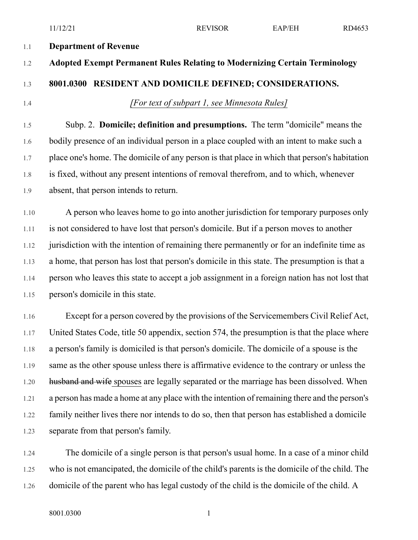#### 1.1 **Department of Revenue**

# 1.2 **Adopted Exempt Permanent Rules Relating to Modernizing Certain Terminology**

# 1.3 **8001.0300 RESIDENT AND DOMICILE DEFINED; CONSIDERATIONS.**

1.4 *[For text of subpart 1, see Minnesota Rules]*

1.5 Subp. 2. **Domicile; definition and presumptions.** The term "domicile" means the 1.6 bodily presence of an individual person in a place coupled with an intent to make such a 1.7 place one's home. The domicile of any person is that place in which that person's habitation 1.8 is fixed, without any present intentions of removal therefrom, and to which, whenever 1.9 absent, that person intends to return.

1.10 A person who leaves home to go into another jurisdiction for temporary purposes only 1.11 is not considered to have lost that person's domicile. But if a person moves to another 1.12 jurisdiction with the intention of remaining there permanently or for an indefinite time as 1.13 a home, that person has lost that person's domicile in this state. The presumption is that a 1.14 person who leaves this state to accept a job assignment in a foreign nation has not lost that 1.15 person's domicile in this state.

1.16 Except for a person covered by the provisions of the Servicemembers Civil Relief Act, 1.17 United States Code, title 50 appendix, section 574, the presumption is that the place where 1.18 a person's family is domiciled is that person's domicile. The domicile of a spouse is the 1.19 same as the other spouse unless there is affirmative evidence to the contrary or unless the 1.20 husband and wife spouses are legally separated or the marriage has been dissolved. When 1.21 a person has made a home at any place with the intention of remaining there and the person's 1.22 family neither lives there nor intends to do so, then that person has established a domicile 1.23 separate from that person's family.

1.24 The domicile of a single person is that person's usual home. In a case of a minor child 1.25 who is not emancipated, the domicile of the child's parents is the domicile of the child. The 1.26 domicile of the parent who has legal custody of the child is the domicile of the child. A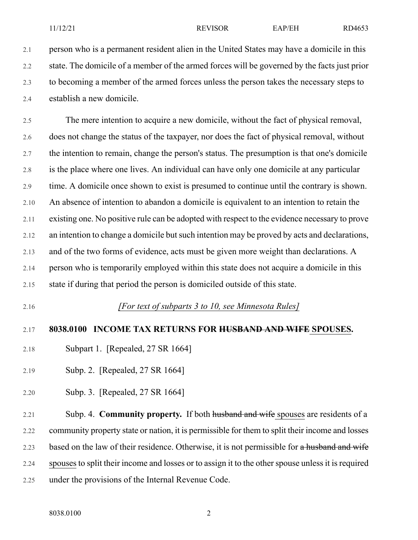2.1 person who is a permanent resident alien in the United States may have a domicile in this 2.2 state. The domicile of a member of the armed forces will be governed by the facts just prior 2.3 to becoming a member of the armed forces unless the person takes the necessary steps to 2.4 establish a new domicile.

2.5 The mere intention to acquire a new domicile, without the fact of physical removal, 2.6 does not change the status of the taxpayer, nor does the fact of physical removal, without 2.7 the intention to remain, change the person's status. The presumption is that one's domicile 2.8 is the place where one lives. An individual can have only one domicile at any particular 2.9 time. A domicile once shown to exist is presumed to continue until the contrary is shown. 2.10 An absence of intention to abandon a domicile is equivalent to an intention to retain the 2.11 existing one. No positive rule can be adopted with respect to the evidence necessary to prove 2.12 an intention to change a domicile but such intention may be proved by acts and declarations, 2.13 and of the two forms of evidence, acts must be given more weight than declarations. A 2.14 person who is temporarily employed within this state does not acquire a domicile in this 2.15 state if during that period the person is domiciled outside of this state.

2.16 *[For text of subparts 3 to 10, see Minnesota Rules]*

#### 2.17 **8038.0100 INCOME TAX RETURNS FOR HUSBAND AND WIFE SPOUSES.**

- 2.18 Subpart 1. [Repealed, 27 SR 1664]
- 2.19 Subp. 2. [Repealed, 27 SR 1664]
- 2.20 Subp. 3. [Repealed, 27 SR 1664]

2.21 Subp. 4. **Community property.** If both husband and wife spouses are residents of a 2.22 community property state or nation, it is permissible for them to split their income and losses 2.23 based on the law of their residence. Otherwise, it is not permissible for a husband and wife 2.24 spouses to split their income and losses or to assign it to the other spouse unless it is required 2.25 under the provisions of the Internal Revenue Code.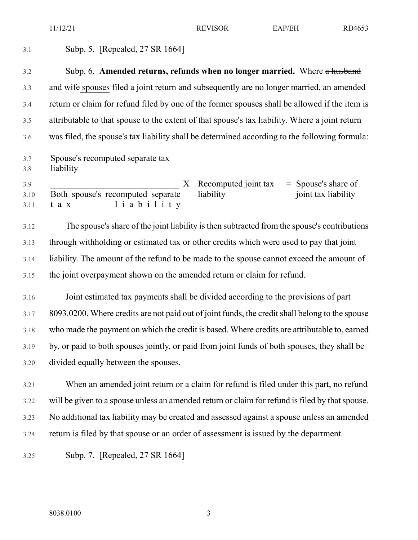11/12/21 REVISOR EAP/EH RD4653

| 3.1                 | Subp. 5. [Repealed, 27 SR 1664]                                                                                                                                       |
|---------------------|-----------------------------------------------------------------------------------------------------------------------------------------------------------------------|
| 3.2                 | Subp. 6. Amended returns, refunds when no longer married. Where a husband                                                                                             |
| 3.3                 | and wife spouses filed a joint return and subsequently are no longer married, an amended                                                                              |
| 3.4                 | return or claim for refund filed by one of the former spouses shall be allowed if the item is                                                                         |
| 3.5                 | attributable to that spouse to the extent of that spouse's tax liability. Where a joint return                                                                        |
| 3.6                 | was filed, the spouse's tax liability shall be determined according to the following formula:                                                                         |
| 3.7<br>3.8          | Spouse's recomputed separate tax<br>liability                                                                                                                         |
| 3.9<br>3.10<br>3.11 | Recomputed joint tax<br>$=$ Spouse's share of<br>$X_{\mathcal{E}}$<br>Both spouse's recomputed separate<br>liability<br>joint tax liability<br>liability<br>$t$ a $x$ |
| 3.12                | The spouse's share of the joint liability is then subtracted from the spouse's contributions                                                                          |
| 3.13                | through withholding or estimated tax or other credits which were used to pay that joint                                                                               |
| 3.14                | liability. The amount of the refund to be made to the spouse cannot exceed the amount of                                                                              |

3.15 the joint overpayment shown on the amended return or claim for refund.

3.16 Joint estimated tax payments shall be divided according to the provisions of part 3.17 8093.0200. Where credits are not paid out of joint funds, the creditshall belong to the spouse 3.18 who made the payment on which the credit is based. Where credits are attributable to, earned 3.19 by, or paid to both spouses jointly, or paid from joint funds of both spouses, they shall be 3.20 divided equally between the spouses.

3.21 When an amended joint return or a claim for refund is filed under this part, no refund 3.22 will be given to a spouse unless an amended return or claim for refund is filed by that spouse. 3.23 No additional tax liability may be created and assessed against a spouse unless an amended 3.24 return is filed by that spouse or an order of assessment is issued by the department.

3.25 Subp. 7. [Repealed, 27 SR 1664]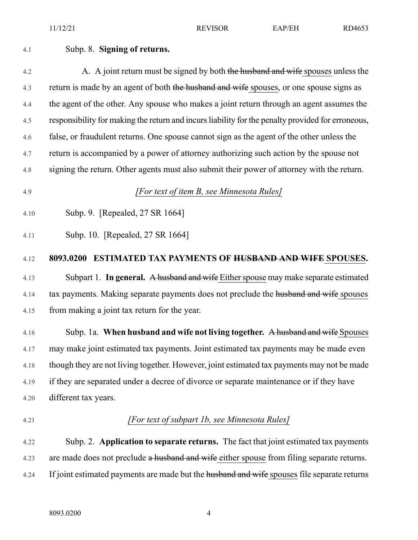#### 4.1 Subp. 8. **Signing of returns.**

4.2 A. A joint return must be signed by both the husband and wife spouses unless the 4.3 return is made by an agent of both the husband and wife spouses, or one spouse signs as 4.4 the agent of the other. Any spouse who makes a joint return through an agent assumes the 4.5 responsibility for making the return and incurs liability for the penalty provided for erroneous, 4.6 false, or fraudulent returns. One spouse cannot sign as the agent of the other unless the 4.7 return is accompanied by a power of attorney authorizing such action by the spouse not 4.8 signing the return. Other agents must also submit their power of attorney with the return.

4.9 *[For text of item B, see Minnesota Rules]*

- 4.10 Subp. 9. [Repealed, 27 SR 1664]
- 4.11 Subp. 10. [Repealed, 27 SR 1664]

#### 4.12 **8093.0200 ESTIMATED TAX PAYMENTS OF HUSBAND AND WIFE SPOUSES.**

4.13 Subpart 1. **In general.** A husband and wife Either spouse may make separate estimated 4.14 tax payments. Making separate payments does not preclude the husband and wife spouses 4.15 from making a joint tax return for the year.

4.16 Subp. 1a. **When husband and wife not living together.** A husband and wife Spouses 4.17 may make joint estimated tax payments. Joint estimated tax payments may be made even 4.18 though they are not living together. However, joint estimated tax payments may not be made 4.19 if they are separated under a decree of divorce or separate maintenance or if they have 4.20 different tax years.

#### 4.21 *[For text of subpart 1b, see Minnesota Rules]*

4.22 Subp. 2. **Application to separate returns.** The fact that joint estimated tax payments 4.23 are made does not preclude a husband and wife either spouse from filing separate returns. 4.24 If joint estimated payments are made but the husband and wife spouses file separate returns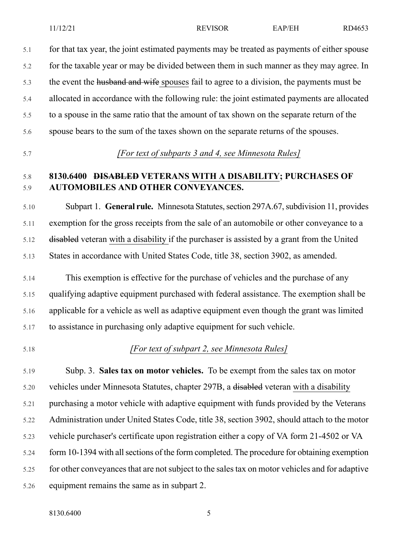5.1 for that tax year, the joint estimated payments may be treated as payments of either spouse 5.2 for the taxable year or may be divided between them in such manner as they may agree. In 5.3 the event the husband and wife spouses fail to agree to a division, the payments must be 5.4 allocated in accordance with the following rule: the joint estimated payments are allocated 5.5 to a spouse in the same ratio that the amount of tax shown on the separate return of the 5.6 spouse bears to the sum of the taxes shown on the separate returns of the spouses.

5.7 *[For text of subparts 3 and 4, see Minnesota Rules]*

### 5.8 **8130.6400 DISABLED VETERANS WITH A DISABILITY; PURCHASES OF** 5.9 **AUTOMOBILES AND OTHER CONVEYANCES.**

5.10 Subpart 1. **General rule.** Minnesota Statutes,section 297A.67,subdivision 11, provides 5.11 exemption for the gross receipts from the sale of an automobile or other conveyance to a 5.12 disabled veteran with a disability if the purchaser is assisted by a grant from the United 5.13 States in accordance with United States Code, title 38, section 3902, as amended.

5.14 This exemption is effective for the purchase of vehicles and the purchase of any 5.15 qualifying adaptive equipment purchased with federal assistance. The exemption shall be 5.16 applicable for a vehicle as well as adaptive equipment even though the grant was limited 5.17 to assistance in purchasing only adaptive equipment for such vehicle.

#### 5.18 *[For text of subpart 2, see Minnesota Rules]*

5.19 Subp. 3. **Sales tax on motor vehicles.** To be exempt from the sales tax on motor 5.20 vehicles under Minnesota Statutes, chapter 297B, a disabled veteran with a disability 5.21 purchasing a motor vehicle with adaptive equipment with funds provided by the Veterans 5.22 Administration under United States Code, title 38, section 3902, should attach to the motor 5.23 vehicle purchaser's certificate upon registration either a copy of VA form 21-4502 or VA 5.24 form 10-1394 with allsections of the form completed. The procedure for obtaining exemption 5.25 for other conveyances that are not subject to the sales tax on motor vehicles and for adaptive 5.26 equipment remains the same as in subpart 2.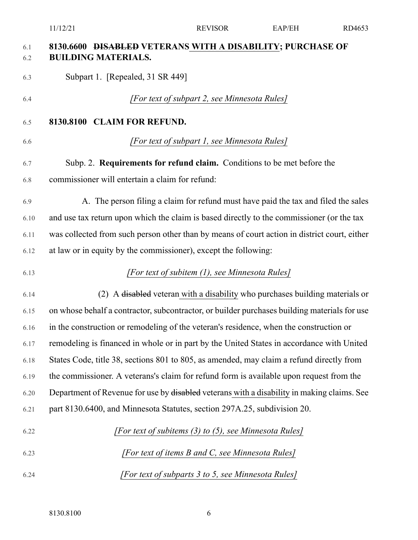## 6.1 **8130.6600 DISABLED VETERANS WITH A DISABILITY; PURCHASE OF** 6.2 **BUILDING MATERIALS.**

6.3 Subpart 1. [Repealed, 31 SR 449]

#### 6.4 *[For text of subpart 2, see Minnesota Rules]*

- 6.5 **8130.8100 CLAIM FOR REFUND.**
- 

### 6.6 *[For text of subpart 1, see Minnesota Rules]*

6.7 Subp. 2. **Requirements for refund claim.** Conditions to be met before the 6.8 commissioner will entertain a claim for refund:

6.9 A. The person filing a claim for refund must have paid the tax and filed the sales 6.10 and use tax return upon which the claim is based directly to the commissioner (or the tax 6.11 was collected from such person other than by means of court action in district court, either 6.12 at law or in equity by the commissioner), except the following:

## 6.13 *[For text of subitem (1), see Minnesota Rules]*

6.14 (2) A disabled veteran with a disability who purchases building materials or 6.15 on whose behalf a contractor, subcontractor, or builder purchases building materials for use 6.16 in the construction or remodeling of the veteran's residence, when the construction or 6.17 remodeling is financed in whole or in part by the United States in accordance with United 6.18 States Code, title 38, sections 801 to 805, as amended, may claim a refund directly from 6.19 the commissioner. A veterans's claim for refund form is available upon request from the 6.20 Department of Revenue for use by disabled veterans with a disability in making claims. See 6.21 part 8130.6400, and Minnesota Statutes, section 297A.25, subdivision 20.

- 6.22 *[For text of subitems (3) to (5), see Minnesota Rules]* 6.23 *[For text of items B and C, see Minnesota Rules]*
- 6.24 *[For text of subparts 3 to 5, see Minnesota Rules]*